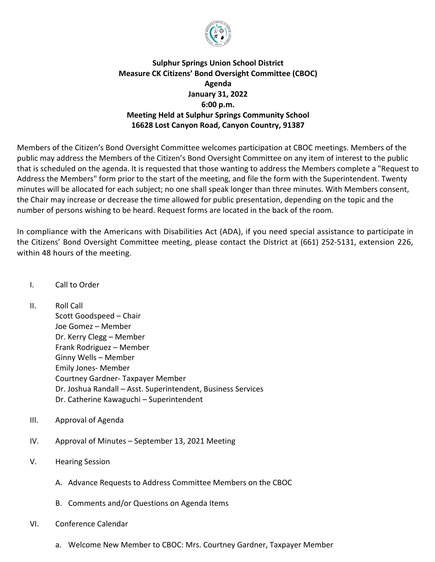

## **Sulphur Springs Union School District Measure CK Citizens' Bond Oversight Committee (CBOC) Agenda January 31, 2022 6:00 p.m. Meeting Held at Sulphur Springs Community School 16628 Lost Canyon Road, Canyon Country, 91387**

Members of the Citizen's Bond Oversight Committee welcomes participation at CBOC meetings. Members of the public may address the Members of the Citizen's Bond Oversight Committee on any item of interest to the public that is scheduled on the agenda. It is requested that those wanting to address the Members complete a "Request to Address the Members" form prior to the start of the meeting, and file the form with the Superintendent. Twenty minutes will be allocated for each subject; no one shall speak longer than three minutes. With Members consent, the Chair may increase or decrease the time allowed for public presentation, depending on the topic and the number of persons wishing to be heard. Request forms are located in the back of the room.

In compliance with the Americans with Disabilities Act (ADA), if you need special assistance to participate in the Citizens' Bond Oversight Committee meeting, please contact the District at (661) 252-5131, extension 226, within 48 hours of the meeting.

- I. Call to Order
- II. Roll Call

Scott Goodspeed – Chair Joe Gomez – Member Dr. Kerry Clegg – Member Frank Rodriguez – Member Ginny Wells – Member Emily Jones- Member Courtney Gardner- Taxpayer Member Dr. Joshua Randall – Asst. Superintendent, Business Services Dr. Catherine Kawaguchi – Superintendent

- III. Approval of Agenda
- IV. Approval of Minutes September 13, 2021 Meeting
- V. Hearing Session
	- A. Advance Requests to Address Committee Members on the CBOC
	- B. Comments and/or Questions on Agenda Items
- VI. Conference Calendar
	- a. Welcome New Member to CBOC: Mrs. Courtney Gardner, Taxpayer Member